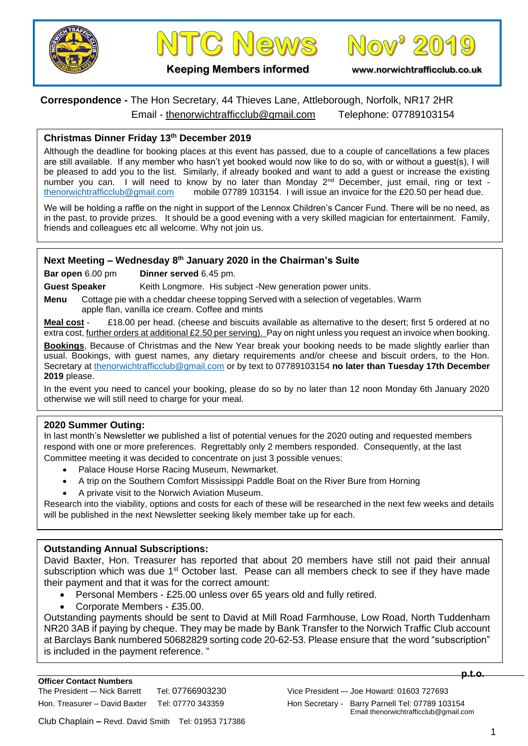





**Keeping Members informed www.norwichtrafficclub.co.uk**

# **Correspondence -** The Hon Secretary, 44 Thieves Lane, Attleborough, Norfolk, NR17 2HR Email - [thenorwichtrafficclub@gmail.com](mailto:thenorwichtrafficclub@gmail.com) Telephone: 07789103154

### **Christmas Dinner Friday 13th December 2019**

Although the deadline for booking places at this event has passed, due to a couple of cancellations a few places are still available. If any member who hasn't yet booked would now like to do so, with or without a guest(s), I will be pleased to add you to the list. Similarly, if already booked and want to add a guest or increase the existing number you can. I will need to know by no later than Monday 2nd December, just email, ring or text mobile 07789 103154. I will issue an invoice for the £20.50 per head due.

We will be holding a raffle on the night in support of the Lennox Children's Cancer Fund. There will be no need, as in the past, to provide prizes. It should be a good evening with a very skilled magician for entertainment. Family, friends and colleagues etc all welcome. Why not join us.

#### **Next Meeting – Wednesday 8th January 2020 in the Chairman's Suite**

**Bar open** 6.00 pm **Dinner served** 6.45 pm.

Guest Speaker Keith Longmore. His subject -New generation power units.

**Menu** Cottage pie with a cheddar cheese topping Served with a selection of vegetables. Warm apple flan, vanilla ice cream. Coffee and mints

**Meal cost** - £18.00 per head. (cheese and biscuits available as alternative to the desert; first 5 ordered at no extra cost, further orders at additional £2.50 per serving). Pay on night unless you request an invoice when booking.

**Bookings**, Because of Christmas and the New Year break your booking needs to be made slightly earlier than usual. Bookings, with guest names, any dietary requirements and/or cheese and biscuit orders, to the Hon. Secretary at [thenorwichtrafficclub@gmail.com](mailto:thenorwichtrafficclub@gmail.com) or by text to 07789103154 **no later than Tuesday 17th December 2019** please.

In the event you need to cancel your booking, please do so by no later than 12 noon Monday 6th January 2020 otherwise we will still need to charge for your meal.

#### **2020 Summer Outing:**

In last month's Newsletter we published a list of potential venues for the 2020 outing and requested members respond with one or more preferences. Regrettably only 2 members responded. Consequently, at the last Committee meeting it was decided to concentrate on just 3 possible venues:

- Palace House Horse Racing Museum, Newmarket.
- A trip on the Southern Comfort Mississippi Paddle Boat on the River Bure from Horning
- A private visit to the Norwich Aviation Museum.

Research into the viability, options and costs for each of these will be researched in the next few weeks and details will be published in the next Newsletter seeking likely member take up for each.

#### **Outstanding Annual Subscriptions:**

David Baxter, Hon. Treasurer has reported that about 20 members have still not paid their annual subscription which was due 1<sup>st</sup> October last. Pease can all members check to see if they have made their payment and that it was for the correct amount:

- Personal Members £25.00 unless over 65 years old and fully retired.
- Corporate Members £35.00.

Outstanding payments should be sent to David at Mill Road Farmhouse, Low Road, North Tuddenham NR20 3AB if paying by cheque. They may be made by Bank Transfer to the Norwich Traffic Club account at Barclays Bank numbered 50682829 sorting code 20-62-53. Please ensure that the word "subscription" is included in the payment reference. "

**p.t.o.**